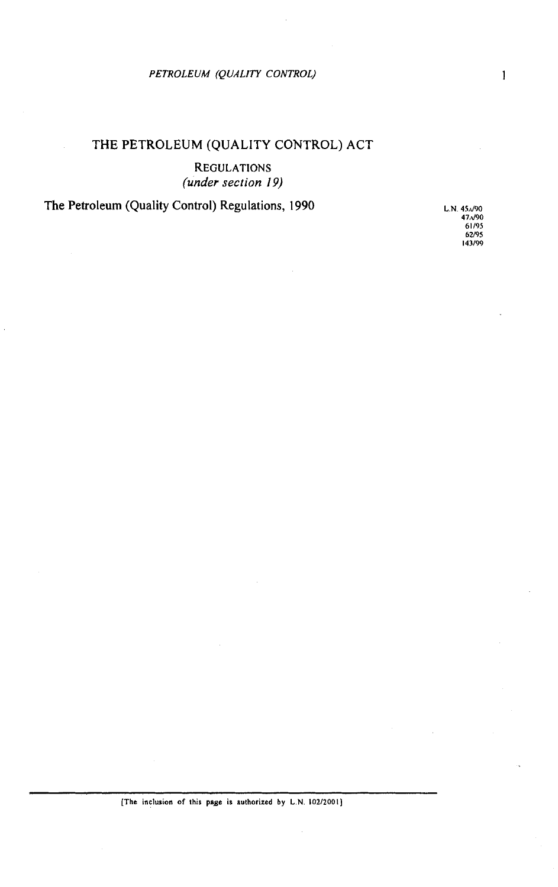# *PETROLEUM (QUALITY CONTROL)*

# THE PETROLEUM (QUALITY CONTROL) ACT

REGULATIONS *(under section 19)* 

The Petroleum (Quality Control) Regulations, 1990 L.N. 45.090

**47.d90 61/95 62/95 143199**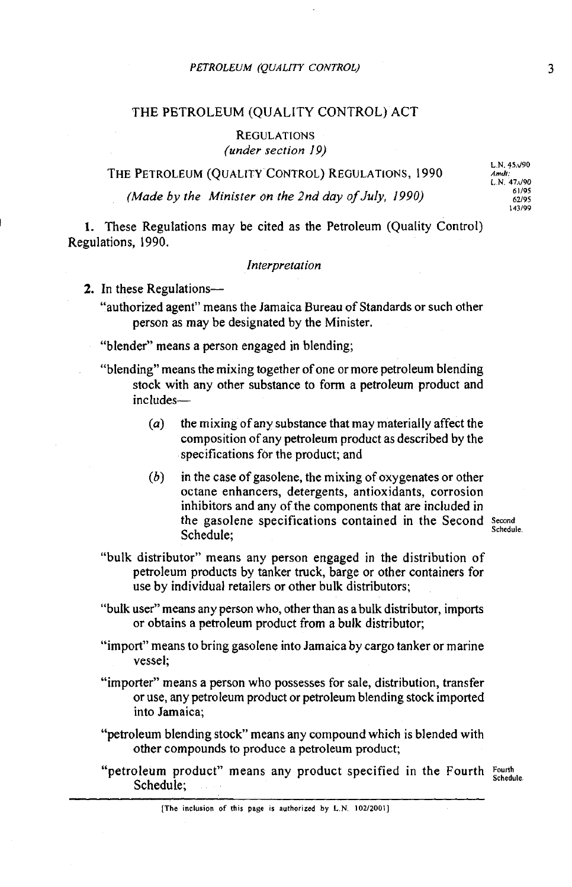## THE PETROLEUM (QUALITY CONTROL) ACT

REGULATIONS (under section 19)

THE PETROLEUM (OUALITY CONTROL) REGULATIONS, 1990

(Made by the Minister on the 2nd day of July, 1990)

**L N 45.d90**  L **N 47JPO 62/95 143199** 

**1.** These Regulations may be cited as the Petroleum (Quality Control) Regulations, 1990.

## Interpretation

2. In these Regulations--

"authorized agent" means the Jamaica Bureau of Standards or such other person as may be designated by the Minister.

- "blender" means a person engaged in blending;
- "blending" means the mixing together of one or more petroleum blending stock with any other substance to form a petroleum product and includes-
	- $(a)$  the mixing of any substance that may materially affect the composition of any petroleum product as described by the specifications for the product; and
	- (6) in the case of gasolene, the mixing of oxygenates or other octane enhancers, detergents, antioxidants, corrosion inhibitors and any of the components that are included in the gasolene specifications contained in the Second **Second** Schedule;

- "bulk distributor" means any person engaged in the distribution of petroleum products by tanker truck, barge or other containers for use by individual retailers or other bulk distributors;
- "bulk user" means any person who, other than as a bulk distributor, imports or obtains a petroleum product from a bulk distributor;
- "import" means to bring gasolene into Jamaica by cargo tanker or marine vessel;
- "importer" means a person who possesses for sale, distribution, transfer or use, any petroleum product or petroleum blending stock imported into Jamaica;
- "petroleum blending stock" means any compound which is blended with other compounds to produce a petroleum product;
- "petroleum product" means any product specified in the Fourth **Fourth** Schedule;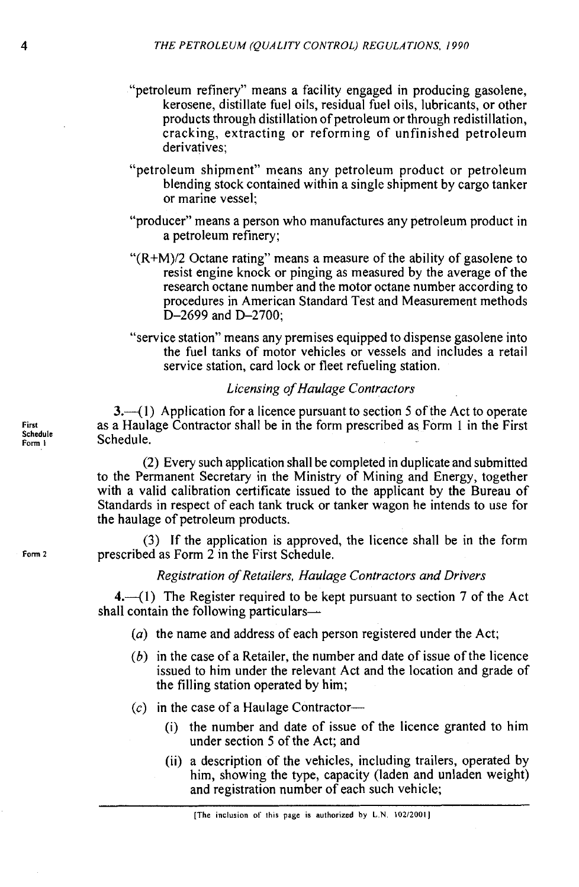- "petroleum refinery" means a facility engaged in producing gasolene, kerosene, distillate fuel oils, residual fuel oils, lubricants, or other products through distillation of petroleum or through redistillation, cracking, extracting or reforming of unfinished petroleum derivatives;
- "petroleum shipment" means any petroleum product or petroleum blending stock contained within a single shipment by cargo tanker or marine vessel;
- "producer" means a person who manufactures any petroleum product in a petroleum refinery;
- " $(R+M)/2$  Octane rating" means a measure of the ability of gasolene to resist engine knock or pinging as measured by the average of the research octane number and the motor octane number according to procedures in American Standard Test and Measurement methods D-2699 and D-2700;
- "service station" means any premises equipped to dispense gasolene into the fuel tanks of motor vehicles or vessels and includes a retail service station, card lock or fleet refueling station.

# Licensing of Haulage Contractors

 $3.41$ ) Application for a licence pursuant to section 5 of the Act to operate as a Haulage Contractor shall be in the form prescribed as Form 1 in the First  $S$ chedule.

(2) Every such application shall be completed in duplicate and submitted to the Permanent Secretary in the Ministry of Mining and Energy, together with a valid calibration certificate issued to the applicant by the Bureau of Standards in respect of each tank truck or tanker wagon he intends to use for the haulage of petroleum products.

**(3)** If the application is approved, the licence shall be in the form Form 2 **prescribed as Form 2 in the First Schedule.** 

Registration of Retuilers, Haulage Contractors and Drivers

 $4.$  (1) The Register required to be kept pursuant to section 7 of the Act shall contain the following particulars-

- $(a)$  the name and address of each person registered under the Act;
- $(b)$  in the case of a Retailer, the number and date of issue of the licence issued to him under the relevant Act and the location and grade of the filling station operated by him;
- $(c)$  in the case of a Haulage Contractor-
	- (i) the number and date of issue of the licence granted to him under section 5 of the Act; and
	- (ii) a description of the vehicles, including trailers, operated by him, showing the type, capacity (laden and unladen weight) and registration number of each such vehicle;

**First Schedule**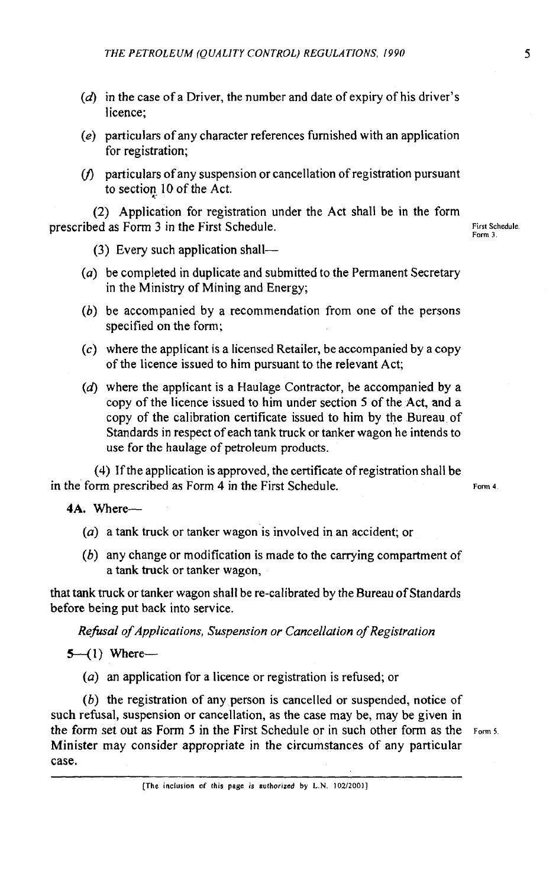- $(d)$  in the case of a Driver, the number and date of expiry of his driver's licence;
- *(e)* particulars of any character references furnished with an application for registration;
- $(f)$  particulars of any suspension or cancellation of registration pursuant to section, 10 of the Act.

(2) Application for registration under the Act shall be in the form prescribed as Form 3 in the First Schedule. **First Schedule First Schedule** 

**Farm 3** 

*(3)* Every such application shall-

- *(a)* be completed in duplicate and submitted to the Permanent Secretary in the Ministry of Mining and Energy;
- (b) be accompanied by a recommendation from one of the persons specified on the form;
- *(c)* where the applicant is a licensed Retailer, be accompanied by a copy of the licence issued to him pursuant to the relevant Act;
- *(d)* where the applicant is a Haulage Contractor, be accompanied by a copy of the licence issued to him under section 5 of the Act, and a copy of the calibration certificate issued to him by the Bureau of Standards in respect of each tank truck or tanker wagon he intends to use for the haulage of petroleum products.

(4) If the application is approved, the certificate of registration shall be in the form prescribed as Form 4 in the First Schedule. **Form 4 Form 4** 

**4A.** Where-

- *(a)* a tank truck or tanker wagon is involved in an accident; or
- *(6)* any change or modification is made to the carrying compartment of a tank truck or tanker wagon,

that tank truck or tanker wagon shall be re-calibrated by the Bureau of Standards before being put back into service.

*Refusal of Applications, Suspension or Cancellation of Registration* 

 $5-(1)$  Where-

*(a)* an application for a licence or registration is refused; or

*(b)* the registration of any person is cancelled or suspended, notice of such refusal, suspension or cancellation, as the case may be, may be given in the form set out as Form **5** in the First Schedule or in such other form as the **Form5**  Minister may consider appropriate in the circumstances of any particular case.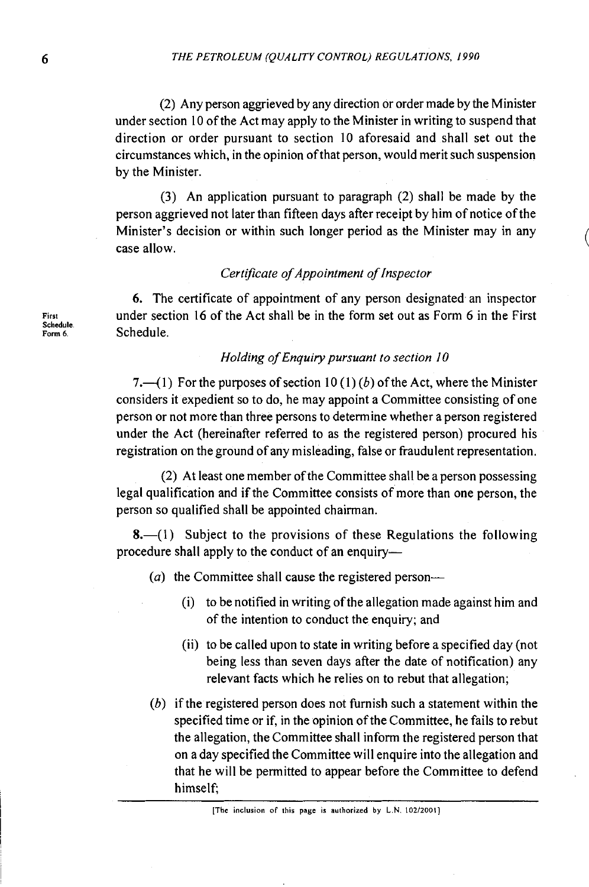(2) Any person aggrieved by any direction or order made by the Minister under section 10 of the Act may apply to the Minister in writing to suspend that direction or order pursuant to section 10 aforesaid and shall set out the circumstances which, in the opinion of that person, would merit such suspension by the Minister.

(3) An application pursuant to paragraph (2) shall be made by the person aggrieved not later than fifteen days after receipt by him of notice of the Minister's decision or within such longer period as the Minister may in any case allow.

## *Certijcate of Appointment of Inspector*

6. The certificate of appointment of any person designated an inspector **First** under section 16 of the Act shall be in the form set out as Form 6 in the First **Schedule F~~~** *6* Schedule.

## *Holding of Enquiry pursuant to section 10*

7.—(1) For the purposes of section 10 (1) (b) of the Act, where the Minister considers it expedient so to do, he may appoint a Committee consisting of one person or not more than three persons to determine whether a person registered under the Act (hereinafter referred to as the registered person) procured his registration on the ground of any misleading, false or fraudulent representation.

(2) At least one member of the Committee shall be a person possessing legal qualification and if the Committee consists of more than one person, the person so qualified shall be appointed chairman.

 $8-(1)$  Subject to the provisions of these Regulations the following procedure shall apply to the conduct of an enquiry-

- (a) the Committee shall cause the registered person--
	- (i) to be notified in writing ofthe allegation made against him and of the intention to conduct the enquiry; and
	- (ii) to be called upon to state in writing before a specified day (not being less than seven days after the date of notification) any relevant facts which he relies on to rebut that allegation;
- (b) if the registered person does not furnish such a statement within the specified time or if, in the opinion of the Committee, he fails to rebut the allegation, the Committee shall inform the registered person that on a day specified the Committee will enquire into the allegation and that he will be permitted to appear before the Committee to defend himself;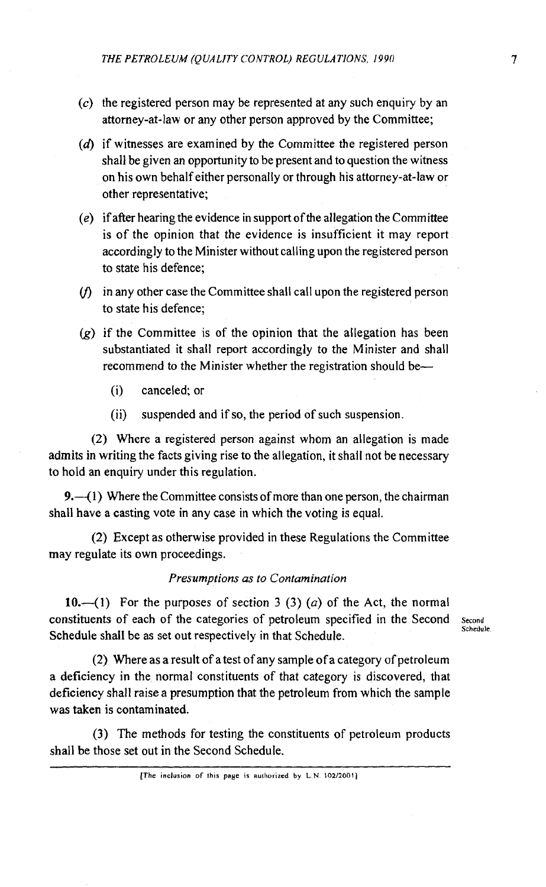- $(c)$  the registered person may be represented at any such enquiry by an attorney-at-law or any other person approved by the Committee;
- $(d)$  if witnesses are examined by the Committee the registered person shall be given an opportunity to be present and to question the witness on his own behalf either personally or through his attorney-at-law or other representative;
- $(e)$  if after hearing the evidence in support of the allegation the Committee is of the opinion that the evidence is insufficient it may report accordingly to the Minister without calling upon the registered person to state his defence;
- $(f)$  in any other case the Committee shall call upon the registered person to state his defence;
- $(g)$  if the Committee is of the opinion that the allegation has been substantiated it shall report accordingly to the Minister and shall recommend to the Minister whether the registration should be-
	- (i) canceled; or
	- (ii) suspended and if so, the period of such suspension.

(2) Where a registered person against whom an allegation is made admits in writing the facts giving rise to the allegation, it shall not be necessary to hold an enquiry under this regulation.

**9.**—(1) Where the Committee consists of more than one person, the chairman shall have a casting vote in any case in which the voting is equal.

(2) Except as otherwise provided in these Regulations the Committee may regulate its own proceedings.

## *Presumptions as to Contamination*

10.—(1) For the purposes of section 3 (3) (a) of the Act, the normal constituents of each of the categories of petroleum specified in the Second **Second Schedule** Schedule shall be as set out respectively in that Schedule.

(2) Where as a result of a test of any sample of a category of petroleum a deficiency in the normal constituents of that category is discovered, that deficiency shall raise a presumption that the petroleum from which the sample was taken is contaminated.

**(3)** The methods for testing the constituents of petroleum products shall be those set out in the Second Schedule.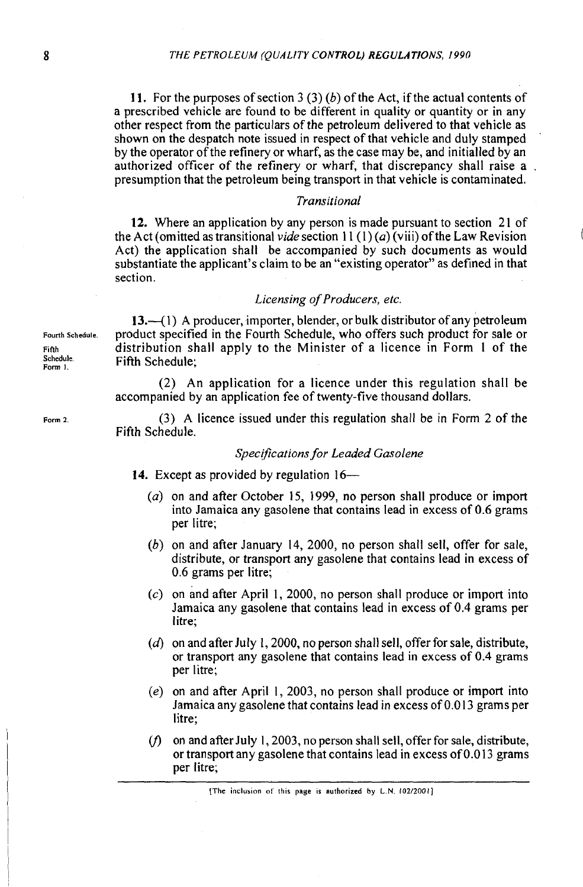11. For the purposes of section 3 (3) (b) of the Act, if the actual contents of a prescribed vehicle are found to be different in quality or quantity or in any other respect from the particulars of the petroleum delivered to that vehicle as shown on the despatch note issued in respect of that vehicle and duly stamped by the operator of the refinery or wharf, as the case may be, and initialled by an authorized officer of the refinery or wharf, that discrepancy shall raise a . presumption that the petroleum being transport in that vehicle is contaminated.

### Transitional

12. Where an application by any person is made pursuant to section 21 of the Act (omitted as transitional vide section  $11(1)(a)$  (viii) of the Law Revision Act) the application shall be accompanied by such documents as would substantiate the applicant's claim to be an "existing operator" as defined in that section.

### Licensing of Producers, etc.

13.—(1) A producer, importer, blender, or bulk distributor of any petroleum **Fourth Schedule.** product specified in the Fourth Schedule, who offers such product for sale or **Finh** distribution shall apply to the Minister of a licence in Form 1 of the **Fifth Schedule:** 

> (2) An application for a licence under this regulation shall be accompanied by an application fee of twenty-five thousand dollars.

**Form z (3)** A licence issued under this regulation shall be in Form 2 of the Fifth Schedule.

## Specifications for Leaded Gasolene

- 14. Except as provided by regulation 16-
	- *(a)* on and after October 15, 1999, no person shall produce or import into Jamaica any gasolene that contains lead in excess of 0.6 grams per litre;
	- (b) on and after January 14, 2000, no person shall sell, offer for sale, distribute, or transport any gasolene that contains lead in excess of 0.6 grams per litre;
	- (c) on and after April I, 2000, no person shall produce or import into Jamaica any gasolene that contains lead in excess of 0.4 grams per litre;
	- *(6)* on and after July 1,2000, no person shall sell, offer for sale, distribute, or transport any gasolene that contains lead in excess of 0.4 grams per litre;
	- (e) on and after April 1, 2003, no person shall produce or import into Jamaica any gasolene that contains lead in excess of 0.0 13 grams per litre;
	- $(f)$  on and after July 1, 2003, no person shall sell, offer for sale, distribute, or transport any gasolene that contains lead in excess of 0.0 13 grams per litre;

 $[The inclusion of this page is authorized by L.N. 102/2001]$ 

**Schedule**<br>Form 1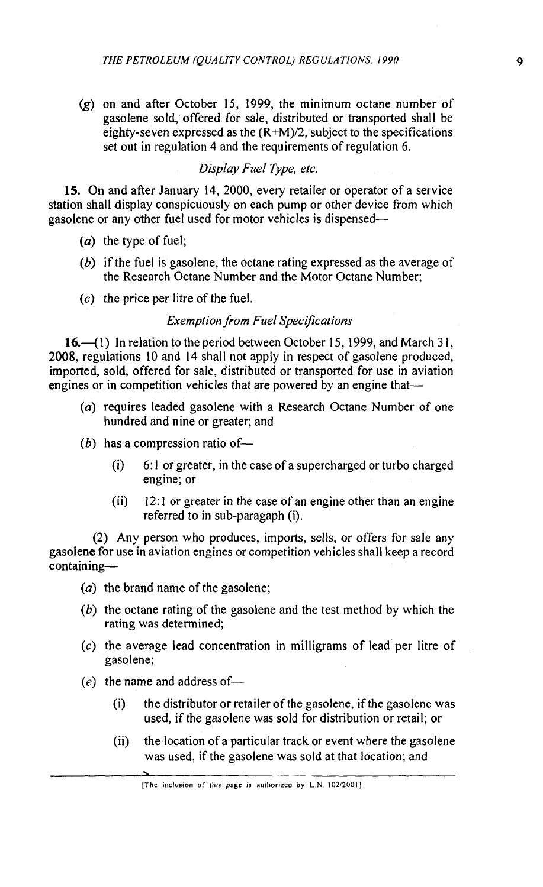*(g)* on and after October 15, 1999, the minimum octane number of gasolene sold, offered for sale, distributed or transported shall be eighty-seven expressed as the  $(R+M)/2$ , subject to the specifications set out in regulation 4 and the requirements of regulation *6.* 

## Display Fuel Type, etc.

15. On and after January 14, 2000, every retailer or operator of a service station shall display conspicuously on each pump or other device from which gasolene or any other fuel used for motor vehicles is dispensed-

- (a) the type of fuel;
- (b) if the fuel is gasolene, the octane rating expressed as the average of the Research Octane Number and the Motor Octane Number;
- $(c)$  the price per litre of the fuel.

## **Exemption from Fuel Specifications**

16.-31) In relation to the period between October 15, 1999, and March **3** I, 2008, regulations 10 and 14 shall not apply in respect of gasolene produced, imported, sold, offered for sale, distributed or transported for use in aviation engines or in competition vehicles that are powered by an engine that-

- (a) requires leaded gasolene with a Research Octane Number of one hundred and nine or greater; and
- $(b)$  has a compression ratio of-
	- (i) *6:* 1 or greater, in the case of a supercharged or turbo charged engine; or
	- $(ii)$  12:1 or greater in the case of an engine other than an engine referred to in sub-paragaph (i).

(2) Any person who produces, imports, sells, or offers for sale any gasolene for use in aviation engines or competition vehicles shall keep a record containing-

- (a) the brand name of the gasolene;
- (b) the octane rating of the gasolene and the test method by which the rating was determined;
- (c) the average lead concentration in milligrams of lead per litre of gasolene;
- $(e)$  the name and address of-
	- (i) the distributor or retailer of the gasolene, if the gasolene was used, if the gasolene was sold for distribution or retail; or
	- (ii) the location of a particular track or event where the gasolene was used, if the gasolene was sold at that location; and

**<sup>[</sup>The inclusion of this page is authorized by LN. 10212001]**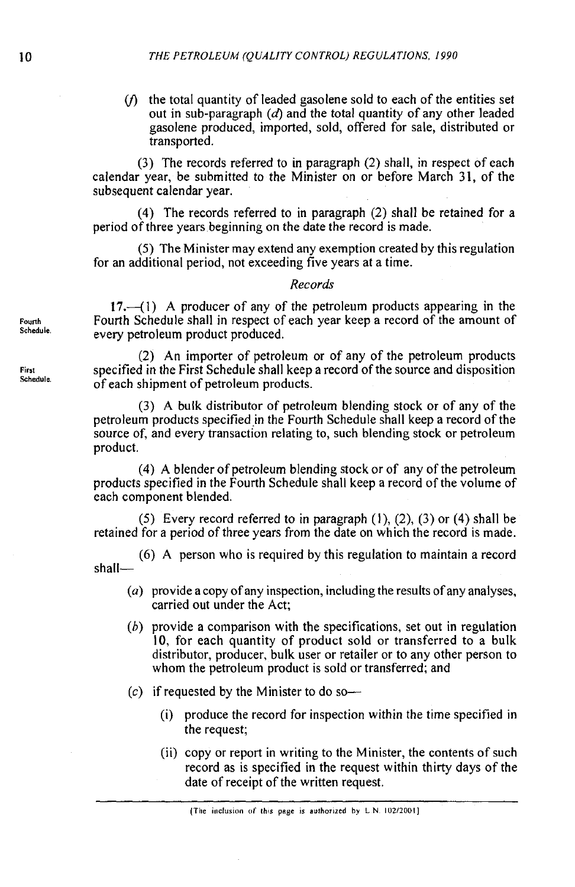$(f)$  the total quantity of leaded gasolene sold to each of the entities set out in sub-paragraph  $(d)$  and the total quantity of any other leaded gasolene produced, imported, sold, offered for sale, distributed or transported.

(3) The records referred to in paragraph (2) shall, in respect of each calendar year, be submitted to the Minister on or before March 31, of the subsequent calendar year.

(4) The records referred to in paragraph (2) shall be retained for a period of three years beginning on the date the record is made.

(5) The Minister may extend any exemption created by this regulation for an additional period, not exceeding five years at a time.

## *Records*

17.--(I) A producer of any of the petroleum products appearing in the Fourth Schedule shall in respect of each year keep a record of the amount of every petroleum product produced.

(2) An importer of petroleum or of any of the petroleum products **Firs1** specified in the First Schedule shall keep a record of the source and disposition **Schedule** of each shipment of petroleum products.

> **(3)** A bulk distributor of petroleum blending stock or of any of the petroleum products specified in the Fourth Schedule shall keep a record of the source of, and every transaction relating to, such blending stock or petroleum product.

> (4) A blender of petroleum blending stock or of any of the petroleum products specified in the Fourth Schedule shall keep a record of the volume of each component blended.

> (5) Every record referred to in paragraph (I), (2), **(3)** or (4) shall be retained for a period of three years from the date on which the record is made.

> (6) A person who is required by this regulation to maintain a record shall-

- (a) provide a copy of any inspection, including the results of any analyses, carried out under the Act;
- *(h)* provide a comparison with the specifications, set out in regulation 10, for each quantity of product sold or transferred to a bulk distributor, producer, bulk user or retailer or to any other person to whom the petroleum product is sold or transferred; and
- $(c)$  if requested by the Minister to do so-
	- (i) produce the record for inspection within the time specified in the request;
	- (ii) copy or report in writing to the Minister, the contents of such record as is specified in the request within thirty days of the date of receipt of the written request.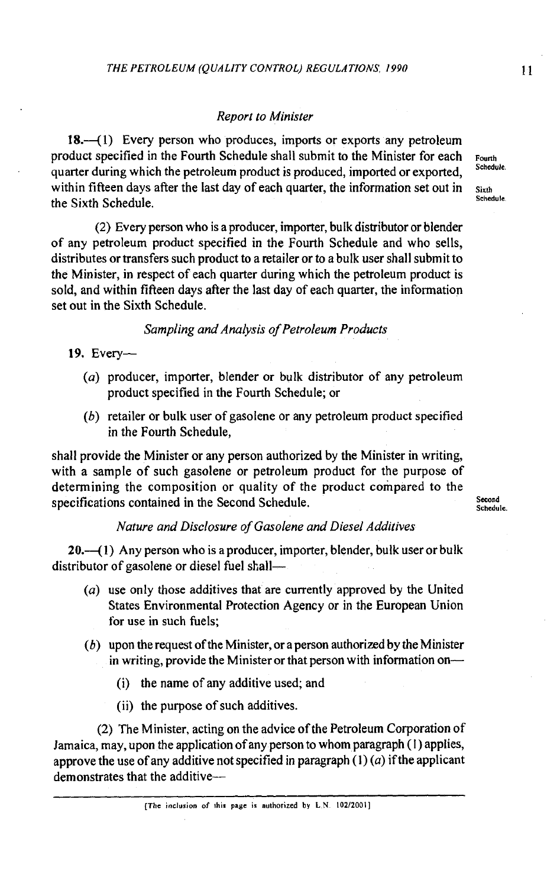## Report to Minister

18.—(1) Every person who produces, imports or exports any petroleum product specified in the Fourth Schedule shall submit to the Minister for each **Founh**  quarter during which the petroleum product is produced, imported or exported, within fifteen days after the last day of each quarter, the information set out in **Sixth**<br>Schedule the Sixth Schedule. **Schedule** 

(2) Every person who is a producer, importer, bulk distributor or blender of any petroleum product specified in the Fourth Schedule and who sells, distributes or transfers such product to a retailer or to a bulk user shall submit to the Minister, in respect of each quarter during which the petroleum product is sold, and within fifteen days after the last day of each quarter, the information set out in the Sixth Schedule.

Sampling and Analysis of Petroleum Products

## 19. Every-

- (a) producer, importer, blender or bulk distributor of any petroleum product specified in the Fourth Schedule; or
- (b) retailer or bulk user of gasolene or any petroleum product specified in the Fourth Schedule,

shall provide the Minister or any person authorized by the Minister in writing, with a sample of such gasolene or petroleum product for the purpose of determining the composition or quality of the product compared to the specifications contained in the Second Schedule. Second second

## Nature and Disclosure of Gasolene and Diesel Additives

 $20.-(1)$  Any person who is a producer, importer, blender, bulk user or bulk distributor of gasolene or diesel fuel shall-

- (a) use only those additives that are currently approved by the United States Environmental Protection Agency or in the European Union for use in such fuels;
- $(b)$  upon the request of the Minister, or a person authorized by the Minister in writing, provide the Minister or that person with information on-
	- (i) the name of any additive used; and
	- (ii) the purpose of such additives.

(2) The Minister, acting on the advice of the Petroleum Corporation of Jamaica, may, upon the application of any person to whom paragraph (I) applies, approve the use of any additive not specified in paragraph  $(1)$   $(a)$  if the applicant demonstrates that the additive-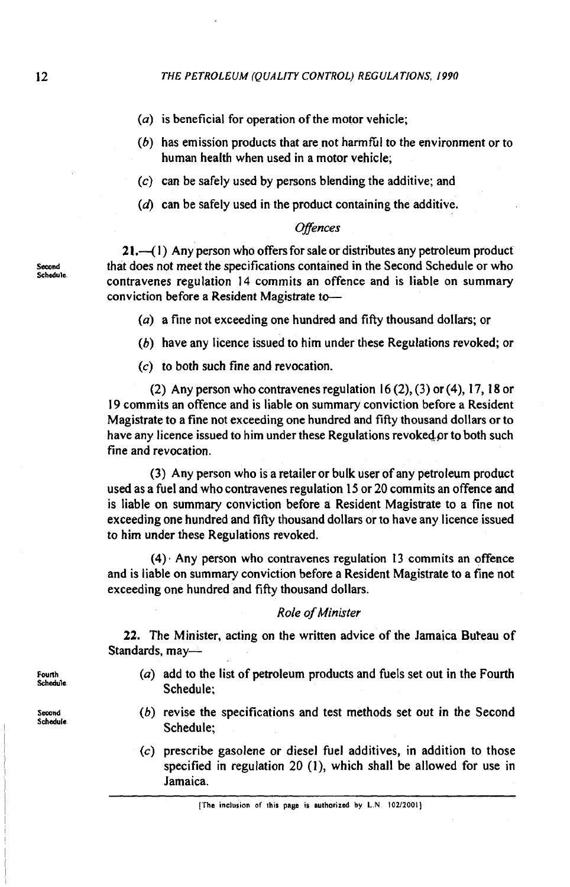- $(a)$  is beneficial for operation of the motor vehicle;
- $(b)$  has emission products that are not harmful to the environment or to human health when used in a motor vehicle;
- (c) can be safely used by persons blending the additive; and
- **(d)** can be safely used in the product containing the additive.

## **Offences**

 $21 -$ (1) Any person who offers for sale or distributes any petroleum product Second that does not meet the specifications contained in the Second Schedule or who<br>Schedule. contravenes regulation 14 commits an offence and is liable on summary conviction before a Resident Magistrate to-

(a) a fine not exceeding one hundred and fifty thousand dollars; or

- (b) have any licence issued to him under these Regulations revoked; or
- **(c)** to both such fine and revocation.

(2) Any person who contravenes regulation 16 (2), (3) or (4), 17, 18 or 19 commits an offence and is liable on summary conviction before a Resident Magistrate to a fine not exceeding one hundred and fifty thousand dollars or to have any licence issued to him under these Regulations revoked or to both such fine and revocation.

(3) Any person who is a retailer or bulk user of any petroleum product used as a fuel and who contravenes regulation **I5** or 20 commits an offence and is liable on summary conviction before a Resident Magistrate to a fine not exceeding one hundred and fifty thousand dollars or to have any licence issued to him under these Regulations revoked.

 $(4)$ . Any person who contravenes regulation 13 commits an offence and is liable on summary conviction before a Resident Magistrate to a fine not exceeding one hundred and fifty thousand dollars.

## Role of Minister

22. The Minister, acting on the written advice of the Jamaica Buteau of Standards, may-

- (a) add to the list of petroleum products and fuels set out in the Fourth Schedule;
- (b) revise the specifications and test methods set out in the Second Schedule;
- (c) prescribe gasolene or diesel fuel additives, in addition to those specified in regulation 20 (I), which shall be allowed for use in Jamaica.

**Fourth Schedule.** 

Second **Schedule**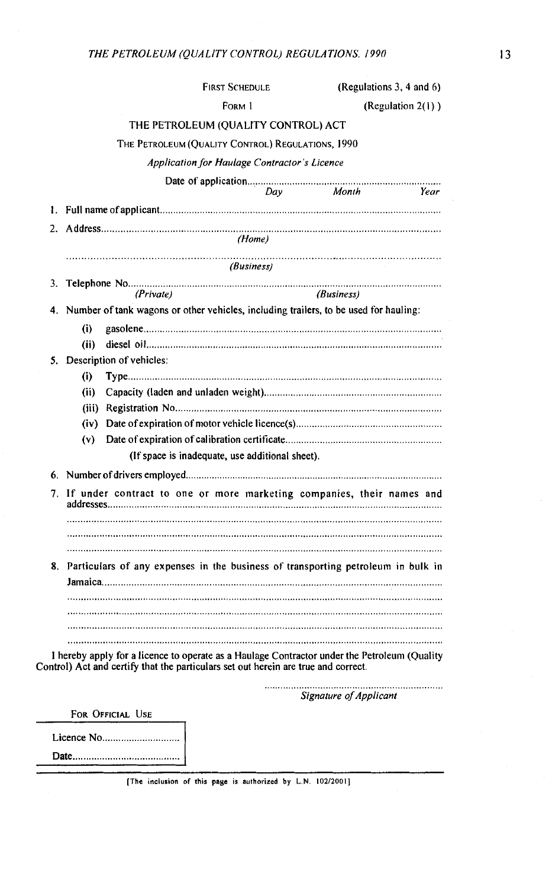|    |                                                                                     |                          | <b>FIRST SCHEDULE</b>                                                              | (Regulations 3, 4 and 6)                                                                     |  |  |  |  |
|----|-------------------------------------------------------------------------------------|--------------------------|------------------------------------------------------------------------------------|----------------------------------------------------------------------------------------------|--|--|--|--|
|    |                                                                                     |                          | Form 1                                                                             | (Regulation 2(1))                                                                            |  |  |  |  |
|    |                                                                                     |                          | THE PETROLEUM (QUALITY CONTROL) ACT                                                |                                                                                              |  |  |  |  |
|    |                                                                                     |                          | THE PETROLEUM (QUALITY CONTROL) REGULATIONS, 1990                                  |                                                                                              |  |  |  |  |
|    |                                                                                     |                          | Application for Haulage Contractor's Licence                                       |                                                                                              |  |  |  |  |
|    |                                                                                     |                          |                                                                                    |                                                                                              |  |  |  |  |
|    |                                                                                     |                          |                                                                                    |                                                                                              |  |  |  |  |
|    |                                                                                     |                          |                                                                                    |                                                                                              |  |  |  |  |
| 2. |                                                                                     |                          | (Home)                                                                             |                                                                                              |  |  |  |  |
|    |                                                                                     |                          |                                                                                    |                                                                                              |  |  |  |  |
|    |                                                                                     |                          | (Business)                                                                         |                                                                                              |  |  |  |  |
| 3. |                                                                                     | (Private)                |                                                                                    | (Business)                                                                                   |  |  |  |  |
| 4. |                                                                                     |                          |                                                                                    | Number of tank wagons or other vehicles, including trailers, to be used for hauling:         |  |  |  |  |
|    | (i)                                                                                 |                          |                                                                                    |                                                                                              |  |  |  |  |
|    | (ii)                                                                                |                          |                                                                                    |                                                                                              |  |  |  |  |
| 5. |                                                                                     | Description of vehicles: |                                                                                    |                                                                                              |  |  |  |  |
|    | (i)                                                                                 |                          |                                                                                    |                                                                                              |  |  |  |  |
|    | (i)                                                                                 |                          |                                                                                    |                                                                                              |  |  |  |  |
|    |                                                                                     |                          |                                                                                    |                                                                                              |  |  |  |  |
|    |                                                                                     |                          |                                                                                    |                                                                                              |  |  |  |  |
|    | (v)                                                                                 |                          |                                                                                    |                                                                                              |  |  |  |  |
|    |                                                                                     |                          | (If space is inadequate, use additional sheet).                                    |                                                                                              |  |  |  |  |
|    |                                                                                     |                          |                                                                                    |                                                                                              |  |  |  |  |
|    | 7. If under contract to one or more marketing companies, their names and            |                          |                                                                                    |                                                                                              |  |  |  |  |
|    |                                                                                     |                          |                                                                                    |                                                                                              |  |  |  |  |
|    |                                                                                     |                          |                                                                                    |                                                                                              |  |  |  |  |
|    |                                                                                     |                          |                                                                                    |                                                                                              |  |  |  |  |
|    | 8. Particulars of any expenses in the business of transporting petroleum in bulk in |                          |                                                                                    |                                                                                              |  |  |  |  |
|    |                                                                                     |                          |                                                                                    |                                                                                              |  |  |  |  |
|    |                                                                                     |                          |                                                                                    |                                                                                              |  |  |  |  |
|    |                                                                                     |                          |                                                                                    |                                                                                              |  |  |  |  |
|    |                                                                                     |                          |                                                                                    |                                                                                              |  |  |  |  |
|    |                                                                                     |                          |                                                                                    | I hereby apply for a licence to operate as a Haulage Contractor under the Petroleum (Quality |  |  |  |  |
|    |                                                                                     |                          | Control) Act and certify that the particulars set out herein are true and correct. |                                                                                              |  |  |  |  |
|    |                                                                                     |                          |                                                                                    |                                                                                              |  |  |  |  |

Signature of Applicant

FOR OFFICIAL USE

[The inclusion of this page is authorized by L.N. 102/2001]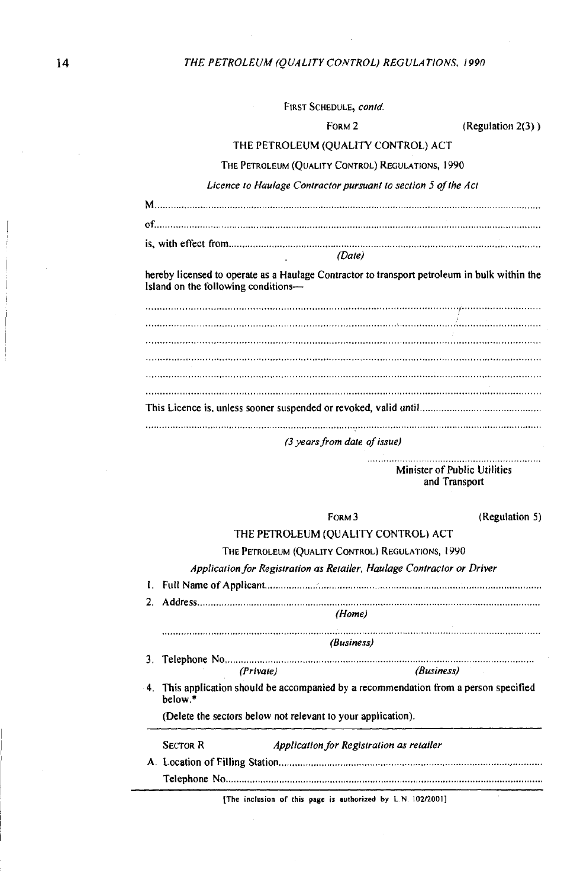### *THE PETROLEUM (QUALITY CONTROL) REGULATIONS. 1990*

|  | FIRST SCHEDULE, contd. |  |
|--|------------------------|--|
|--|------------------------|--|

#### FORM 2 (Regulation 2(3) **)**

#### THE PETROLEUM (QUALITY CONTROL) ACT

#### THE PETROLEUM (QUALITY CONTROL) REGULATIONS, 1990

*Licence to Huulage Conirocior pursuant to section* **5** *of the Act* 

| Date) |  |
|-------|--|

hereby licensed to operate as a Haulage Contractor to transport petroleum in bulk within the Island on the following conditions-

This Licence is, unless sooner suspended or revoked, valid until ................ ........................ ............................................................................................................................................ ..................................................................................................................................................

#### **(3** *years from date of issue)*

Minister of Public Utilities and Transport

FORM 3 (Regulation 5)

## THE PETROLEUM (QUALITY CONTROL) ACT

#### THE PETROLEUM (QUALITY CONTROL) REGULATIONS, 1990

|    |                                                                                               |                                                              | Application for Registration as Retailer, Haulage Contractor or Driver |  |  |  |
|----|-----------------------------------------------------------------------------------------------|--------------------------------------------------------------|------------------------------------------------------------------------|--|--|--|
| L. |                                                                                               |                                                              |                                                                        |  |  |  |
| 2. |                                                                                               |                                                              |                                                                        |  |  |  |
|    | (Home)                                                                                        |                                                              |                                                                        |  |  |  |
|    |                                                                                               |                                                              | (Business)                                                             |  |  |  |
|    |                                                                                               |                                                              |                                                                        |  |  |  |
|    | (Private)                                                                                     |                                                              | (Business)                                                             |  |  |  |
| 4. | This application should be accompanied by a recommendation from a person specified<br>helow.* |                                                              |                                                                        |  |  |  |
|    |                                                                                               | (Delete the sectors below not relevant to your application). |                                                                        |  |  |  |
|    | Sector R                                                                                      |                                                              | Application for Registration as retailer                               |  |  |  |
|    |                                                                                               |                                                              |                                                                        |  |  |  |
|    |                                                                                               |                                                              |                                                                        |  |  |  |
|    |                                                                                               |                                                              |                                                                        |  |  |  |

[The inclusion of this **page is authorized by** L N 102/2001]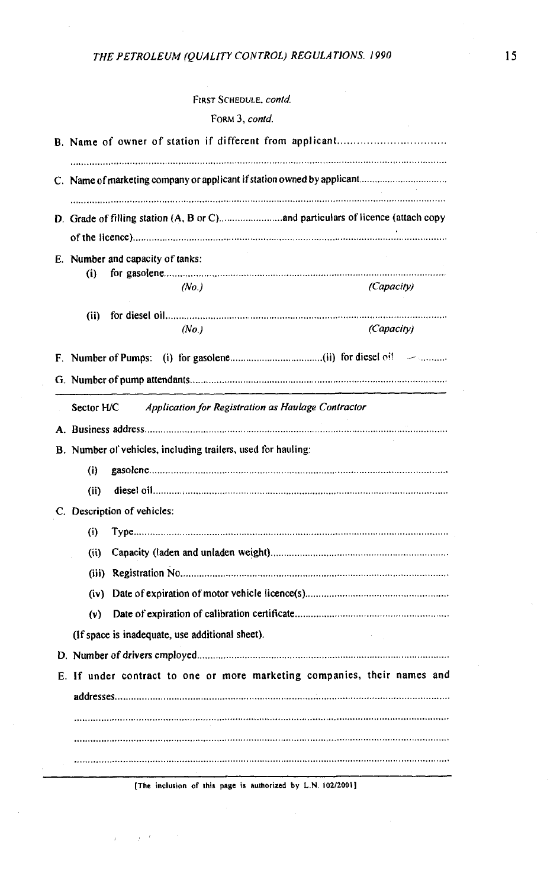# FORM 3, contd.

|            | E. Number and capacity of tanks:                                         |            |
|------------|--------------------------------------------------------------------------|------------|
| (i)        |                                                                          |            |
|            | (No.)                                                                    | (Capacity) |
| (i)        |                                                                          |            |
|            | (No.)                                                                    | (Capacity) |
|            |                                                                          |            |
|            |                                                                          |            |
|            |                                                                          |            |
| Sector H/C | Application for Registration as Haulage Contractor                       |            |
|            |                                                                          |            |
|            | B. Number of vehicles, including trailers, used for hauling:             |            |
| (i)        |                                                                          |            |
| (i)        |                                                                          |            |
|            | C. Description of vehicles:                                              |            |
|            |                                                                          |            |
| (i)        |                                                                          |            |
| (i)        |                                                                          |            |
|            |                                                                          |            |
|            |                                                                          |            |
| (v)        |                                                                          |            |
|            |                                                                          |            |
|            | (If space is inadequate, use additional sheet).                          |            |
|            |                                                                          |            |
|            | E. If under contract to one or more marketing companies, their names and |            |
|            |                                                                          |            |
|            |                                                                          |            |

**[The inclusion of this page is authorized by L.N. 102/2001]** 

 $\mathbf{r} = \mathbf{r}$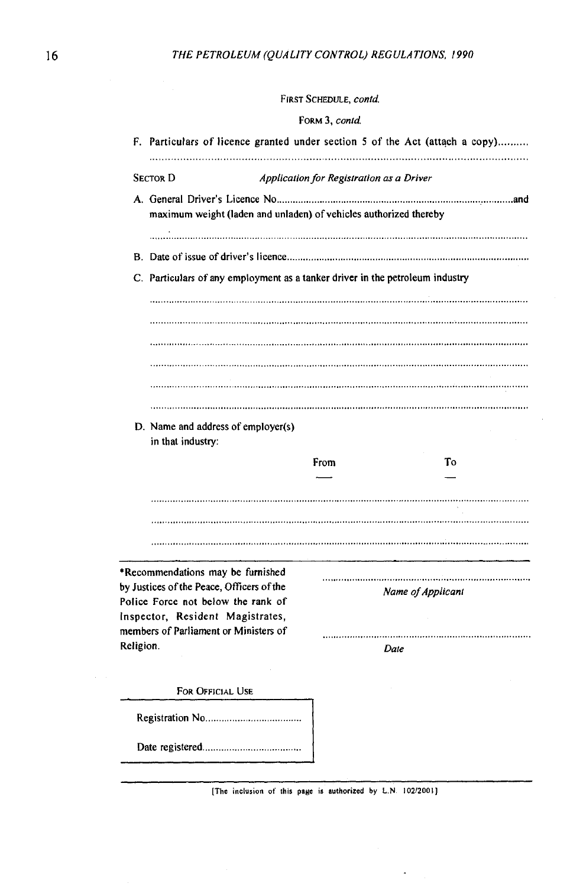#### FORM 3, contd.

| maximum weight (laden and unladen) of vehicles authorized thereby             |  |  |  |  |  |  |
|-------------------------------------------------------------------------------|--|--|--|--|--|--|
|                                                                               |  |  |  |  |  |  |
|                                                                               |  |  |  |  |  |  |
| C. Particulars of any employment as a tanker driver in the petroleum industry |  |  |  |  |  |  |
|                                                                               |  |  |  |  |  |  |
|                                                                               |  |  |  |  |  |  |
|                                                                               |  |  |  |  |  |  |
|                                                                               |  |  |  |  |  |  |
|                                                                               |  |  |  |  |  |  |
|                                                                               |  |  |  |  |  |  |
|                                                                               |  |  |  |  |  |  |
|                                                                               |  |  |  |  |  |  |
|                                                                               |  |  |  |  |  |  |
| Тo                                                                            |  |  |  |  |  |  |
|                                                                               |  |  |  |  |  |  |
|                                                                               |  |  |  |  |  |  |
|                                                                               |  |  |  |  |  |  |
|                                                                               |  |  |  |  |  |  |
|                                                                               |  |  |  |  |  |  |
|                                                                               |  |  |  |  |  |  |
|                                                                               |  |  |  |  |  |  |
|                                                                               |  |  |  |  |  |  |
| Name of Applicant                                                             |  |  |  |  |  |  |
|                                                                               |  |  |  |  |  |  |
|                                                                               |  |  |  |  |  |  |
|                                                                               |  |  |  |  |  |  |
|                                                                               |  |  |  |  |  |  |
|                                                                               |  |  |  |  |  |  |
|                                                                               |  |  |  |  |  |  |
|                                                                               |  |  |  |  |  |  |

**The inclusion of this page is authorized by L.N. 102/2001]** 

 $\ddot{\phantom{a}}$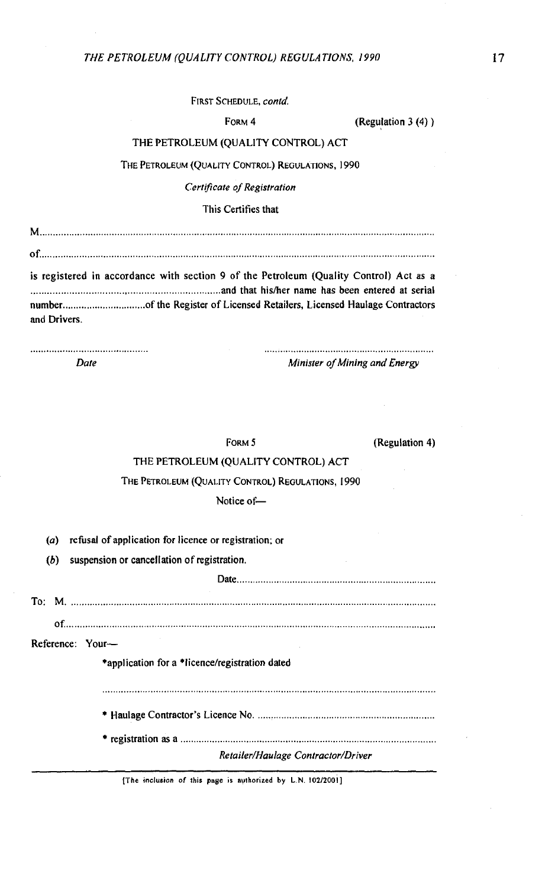FORM 4 (Regulation 3 (4) )

### THE PETROLEUM (QUALITY CONTROL) ACT

THE PETROLEUM (QUALITY CONTROL) REGULATIONS, 1990

*Certificate of Registration* 

This Certifies that

**is** registered in accordance with section 9 of the Petroleum (Quality Control) Act as a ...................................... **hd** that hisher name has been entered at serial number ............................... of the Register of Licensed Retailers, Licensed Haulage Contractors and Drivers.

............................................ ................................................................

*Date Minister of Mining and Energy* 

Date.. ........................................................................

FORM 5

(Regulation 4)

## THE PETROLEUM (QUALITY CONTROL) ACT

### THE PETROLEUM (QUALITY CONTROL) REGULATIONS, 1990

Notice of-

*(a)* refusal of application for licence or registration; or

(b) suspension or cancellation of registration.

To: M. .......................................................................................................................................... of.. ......................... .. ......................................................................................................... Reference: Your- \*application for a \*licence/registration dated \* Haulage Contractor's Licence No. ................................................................. \* registration as a ................................................................................................. *RetailedHaulage Contractor/Driver* 

**[The inclusion of this pa8e is authorized by** L **N. 102/2001]**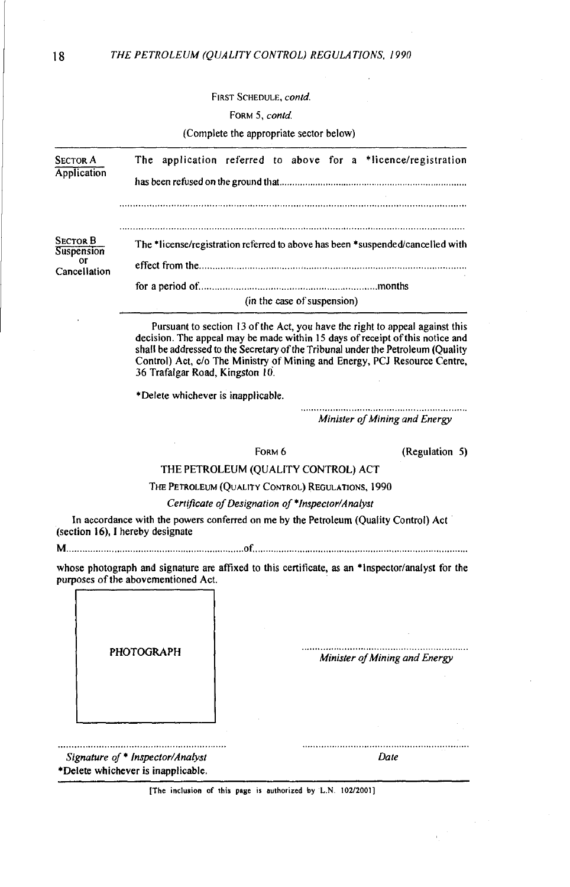#### FORM 5, contd.

| <b>SECTOR A</b><br>Application<br><b>SECTOR B</b><br>Suspension<br>or<br>Cancellation | The application referred to above for a *licence/registration                                                 |  |  |  |  |  |
|---------------------------------------------------------------------------------------|---------------------------------------------------------------------------------------------------------------|--|--|--|--|--|
|                                                                                       |                                                                                                               |  |  |  |  |  |
|                                                                                       | The *license/registration referred to above has been *suspended/cancelled with<br>(in the case of suspension) |  |  |  |  |  |

Pursuant to section 13 of the Act, you have the right to appeal against this decision. The appeal may be made within 15 days of receipt of this notice and shall be addressed to the Secretary of the Tribunal under the Petroleum (Quality Control) Act, c/o The Ministry of Mining and Energy, PCJ Resource Centre, 36 Trafalgar Road, Kingston 10.

\*Delete whichever is inapplicable.

.............................................................. *Minister of Mining and Energy* 

| FORM 6                                            | (Regulation 5) |  |
|---------------------------------------------------|----------------|--|
| THE PETROLEUM (OUALITY CONTROL) ACT               |                |  |
| THE PETROLEUM (QUALITY CONTROL) REGULATIONS, 1990 |                |  |
| Certificate of Designation of *Inspector/Analyst  |                |  |

In accordance with the powers conferred on me by the Petroleum (Quality Control) Act (section 16), **1** hereby designate

whose photograph and signature are affixed to this certificate, as an \*Inspector/analyst tor the purposes of the abovementioned Act.

| <b>PHOTOGRAPH</b>                |                               |
|----------------------------------|-------------------------------|
|                                  | Minister of Mining and Energy |
|                                  |                               |
|                                  |                               |
|                                  |                               |
|                                  |                               |
|                                  |                               |
|                                  |                               |
| Signature of * Inspector/Analyst | Date                          |

[The inclusion of this page **IS** authorized **by** L.N **10212001]** 

г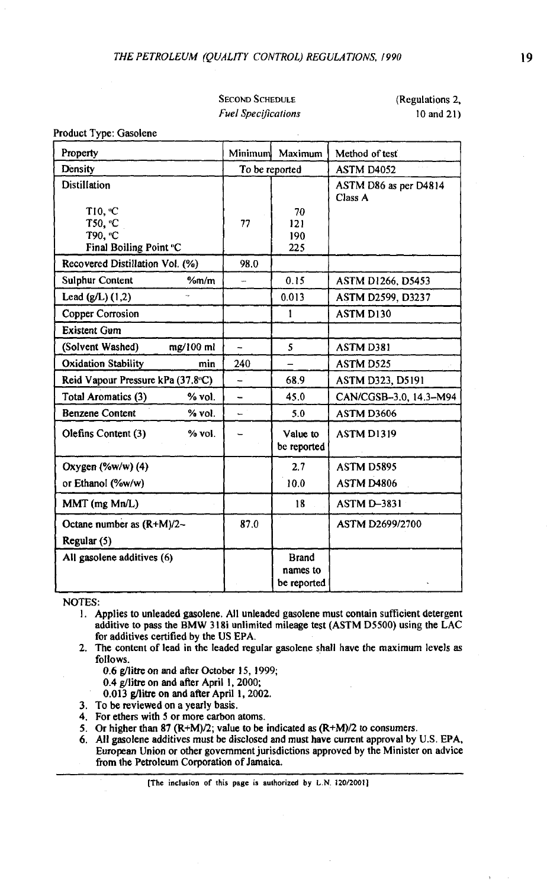SECOND SCHEDULE *Fuel Spec~jications*  (Regulations 2, 10 and 21)

Product Type: Gasolene

| Property                                                  | Minimum<br>Maximum       |                                         | Method of test                   |  |
|-----------------------------------------------------------|--------------------------|-----------------------------------------|----------------------------------|--|
| Density                                                   | To be reported           |                                         | ASTM D4052                       |  |
| Distillation                                              |                          |                                         | ASTM D86 as per D4814<br>Class A |  |
| T10. °C                                                   |                          | 70                                      |                                  |  |
| T50. °C                                                   | 77                       | 121                                     |                                  |  |
| T90. °C                                                   |                          | 190                                     |                                  |  |
| Final Boiling Point °C<br>Recovered Distillation Vol. (%) | 98.0                     | 225                                     |                                  |  |
| <b>Sulphur Content</b><br>%m/m                            |                          | 0.15                                    | <b>ASTM D1266, D5453</b>         |  |
| Lead $(g/L)$ $(1,2)$                                      |                          | 0.013                                   | ASTM D2599, D3237                |  |
| <b>Copper Corrosion</b>                                   |                          | 1                                       | ASTM D130                        |  |
| <b>Existent Gum</b>                                       |                          |                                         |                                  |  |
| (Solvent Washed)<br>mg/100 ml                             | $\ddot{\phantom{1}}$     | 5                                       | ASTM D381                        |  |
| <b>Oxidation Stability</b><br>min                         | 240                      |                                         | ASTM D525                        |  |
| Reid Vapour Pressure kPa (37.8°C)                         | L,                       | 68.9                                    | <b>ASTM D323, D5191</b>          |  |
| Total Aromatics (3)<br>$%$ vol.                           | $\overline{\phantom{0}}$ | 45.0                                    | CAN/CGSB-3.0, 14.3-M94           |  |
| <b>Benzene Content</b><br>% vol.                          |                          | 5.0                                     | ASTM D3606                       |  |
| Olefins Content (3)<br>% vol.                             |                          | Value to<br>be reported                 | <b>ASTM D1319</b>                |  |
| Oxygen $(\%w/w)$ (4)                                      |                          | 2.7                                     | <b>ASTM D5895</b>                |  |
| or Ethanol (%w/w)                                         |                          | 10.0                                    | ASTM D4806                       |  |
| MMT (mg Mn/L)                                             |                          | 18                                      | <b>ASTM D-3831</b>               |  |
| Octane number as (R+M)/2-                                 | 87.0                     |                                         | <b>ASTM D2699/2700</b>           |  |
| Regular (5)                                               |                          |                                         |                                  |  |
| All gasolene additives (6)                                |                          | <b>Brand</b><br>names to<br>be reported |                                  |  |

NOTES:

- 1. Applies to unleaded gasolene. All unleaded gasolene must contain sufficient detergent additive to pass the **BMW** 3 18i unlimited mileage test (ASTM D5500) using the LAC for additives certified by the **US** EPA.
- 2. The content of lead in the leaded regular gasolene shall have the maximum levels as follows.

0.6 flitre on and **after** October 15, 1999;

0.4 g/litre on and after April 1,2000;

0.013 **g/litre** on and after April I, 2002.

- 3. To be reviewed on a yearly basis.
- 4. For ethers with 5 or more carbon atoms.
- 5. Or higher than 87 ( $R+M$ )/2; value to be indicated as  $(R+M)/2$  to consumers.
- 6. All easolene additives must be disclosed and must have current amroval by **U.S.** EPA. European Union or other government jurisdictions approved by the Minister on advice from the Petroleum Corporation of Jamaica.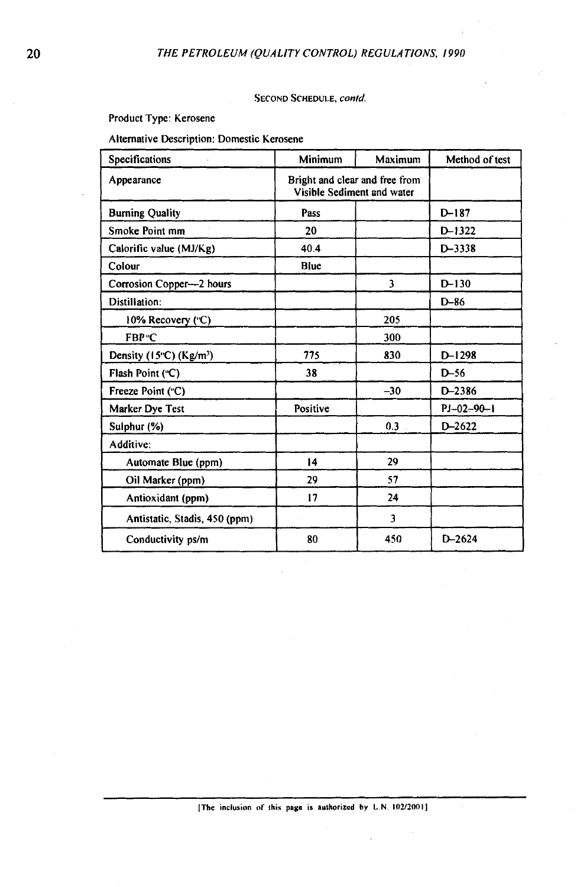#### SECOND SCHEDULE, **conld**

Product Type: Kerosene

Alternative Description: Domestic Kerosene

| Specifications                               | Minimum                                                      | Maximum | Method of test |
|----------------------------------------------|--------------------------------------------------------------|---------|----------------|
| Appearance                                   | Bright and clear and free from<br>Visible Sediment and water |         |                |
| <b>Burning Quality</b>                       | Pass                                                         |         | $D-187$        |
| Smoke Point mm                               | 20                                                           |         | $D-1322$       |
| Calorific value (MJ/Kg)                      | 40.4                                                         |         | $D - 3338$     |
| Colour                                       | Blue                                                         |         |                |
| Corrosion Copper—2 hours                     |                                                              | 3       | $D-130$        |
| Distillation:                                |                                                              |         | $D-86$         |
| 10% Recovery ("C)                            |                                                              | 205     |                |
| FBP <sup>®</sup> C                           |                                                              | 300     |                |
| Density $(15^{\circ}C)$ (Kg/m <sup>3</sup> ) | 775                                                          | 830     | $D-1298$       |
| Flash Point ("C)                             | 38                                                           |         | $D-56$         |
| Freeze Point ("C)                            |                                                              | $-30$   | $D - 2386$     |
| Marker Dye Test                              | Positive                                                     |         | $PI-02-90-1$   |
| Sulphur (%)                                  |                                                              | 0.3     | $D - 2622$     |
| Additive:                                    |                                                              |         |                |
| Automate Blue (ppm)                          | 14                                                           | 29      |                |
| Oil Marker (ppm)                             | 29                                                           | 57      |                |
| Antioxidant (ppm)                            | 17                                                           | 24      |                |
| Antistatic, Stadis, 450 (ppm)                |                                                              | 3       |                |
| Conductivity ps/m                            | 80                                                           | 450     | $D - 2624$     |

**[The inclusion 01' this page is sulhorizcd hy** L.N **10?/2001]**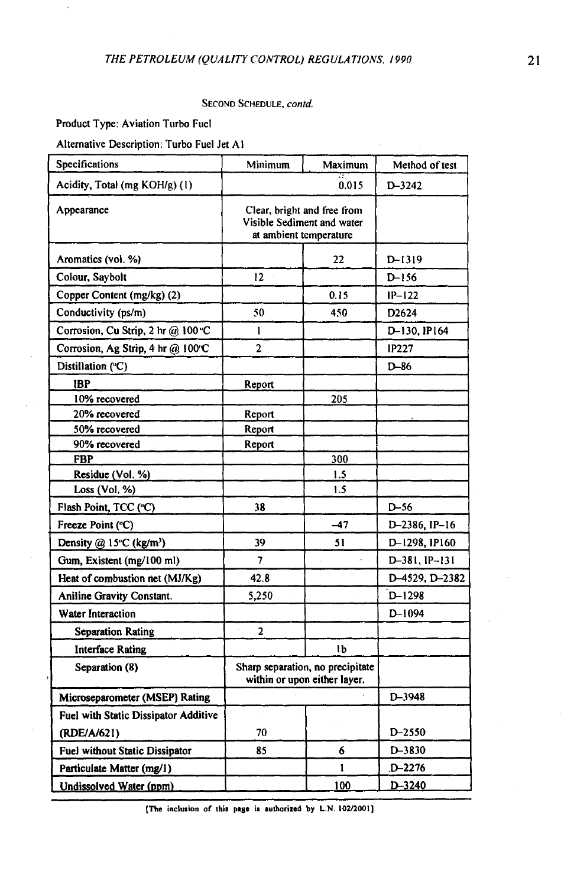## **SECOND SCHEDULE,** *contd.*

**Product Type: Aviation Turbo Fuel** 

**Alternative Description: Turbo Fuel Jet A1** 

| Specifications                        | Minimum                                                                             | Maximum | Method of test    |
|---------------------------------------|-------------------------------------------------------------------------------------|---------|-------------------|
| Acidity, Total (mg KOH/g) (1)         |                                                                                     | 0.015   | D-3242            |
| Appearance                            | Clear, bright and free from<br>Visible Sediment and water<br>at ambient temperature |         |                   |
| Aromatics (vol. %)                    |                                                                                     | 22      | D-1319            |
| Colour, Saybolt                       | 12                                                                                  |         | $D-156$           |
| Copper Content (mg/kg) (2)            |                                                                                     | 0.15    | $IP-122$          |
| Conductivity (ps/m)                   | 50                                                                                  | 450     | D <sub>2624</sub> |
| Corrosion, Cu Strip, 2 hr @ 100 °C    | l                                                                                   |         | D-130, IP164      |
| Corrosion, Ag Strip, 4 hr @ 100°C     | $\overline{a}$                                                                      |         | <b>IP227</b>      |
| Distillation ("C)                     |                                                                                     |         | $D-86$            |
| IBP                                   | Report                                                                              |         |                   |
| 10% recovered                         |                                                                                     | 205     |                   |
| 20% recovered                         | Report                                                                              |         |                   |
| 50% recovered                         | Report                                                                              |         |                   |
| 90% recovered                         | Report                                                                              |         |                   |
| <b>FBP</b>                            |                                                                                     | 300     |                   |
| Residue (Vol. %)                      |                                                                                     | 1.5     |                   |
| Loss (Vol. %)                         |                                                                                     | 1.5     |                   |
| Flash Point, TCC (°C)                 | 38                                                                                  |         | $D-56$            |
| Freeze Point (°C)                     |                                                                                     | -47     | D-2386, IP-16     |
| Density $@$ 15°C (kg/m <sup>3</sup> ) | 39                                                                                  | 51.     | D-1298, IP160     |
| Gum, Existent (mg/100 ml)             | $\overline{7}$                                                                      |         | D-381, IP-131     |
| Heat of combustion net (MJ/Kg)        | 42.8                                                                                |         | D-4529, D-2382    |
| <b>Aniline Gravity Constant.</b>      | 5,250                                                                               |         | $D-1298$          |
| <b>Water Interaction</b>              |                                                                                     |         | D-1094            |
| <b>Separation Rating</b>              | $\overline{2}$                                                                      | Ŷ.      |                   |
| <b>Interface Rating</b>               |                                                                                     | 1b      |                   |
| Separation (8)                        | Sharp separation, no precipitate<br>within or upon either layer.                    |         |                   |
| Microseparometer (MSEP) Rating        |                                                                                     |         | D-3948            |
| Fuel with Static Dissipator Additive  |                                                                                     |         |                   |
| (RDE/A/621)                           | 70                                                                                  |         | D-2550            |
| Fuel without Static Dissipator        | 85                                                                                  | 6       | D-3830            |
| Particulate Matter (mg/l)             |                                                                                     | 1       | D-2276            |
| Undissolved Water (ppm)               |                                                                                     | 100     | D-3240            |

**[The inclusion of this page is authorized by L.N 102/2001]**